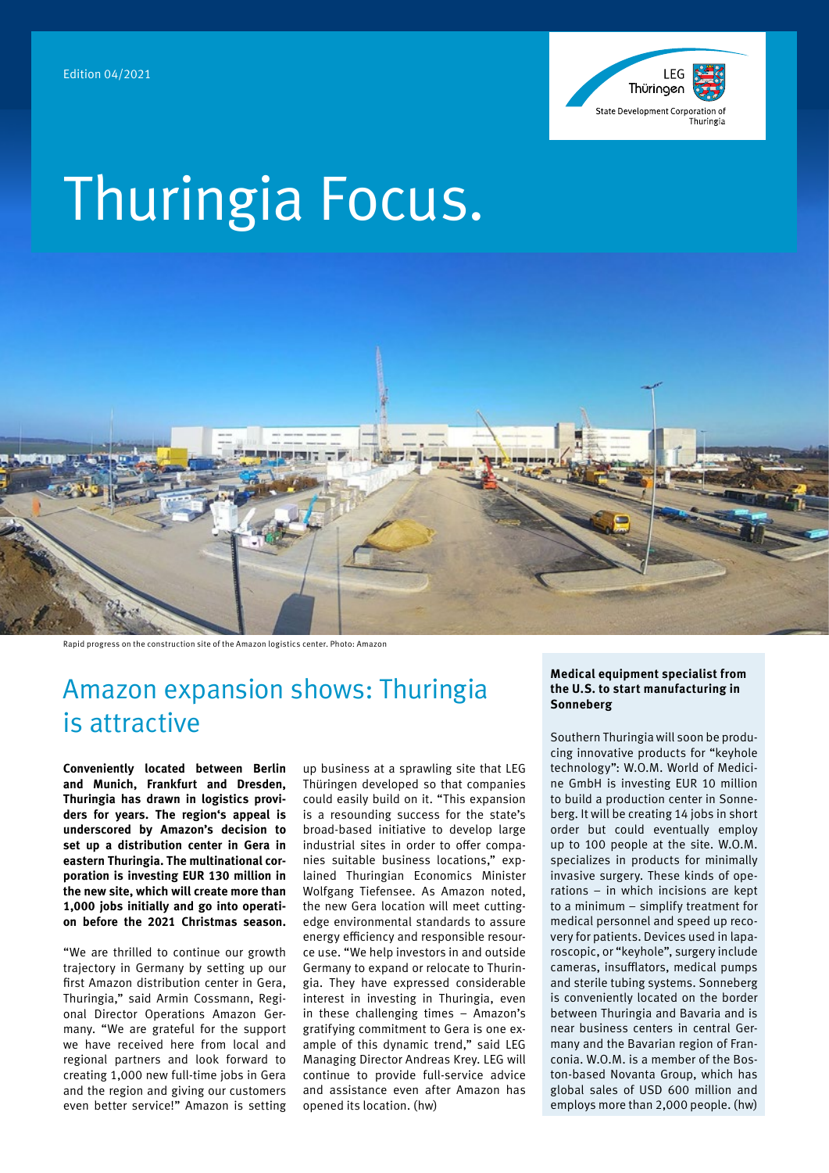

# Thuringia Focus.



Rapid progress on the construction site of the Amazon logistics center. Photo: Amazon

### Amazon expansion shows: Thuringia is attractive

**Conveniently located between Berlin and Munich, Frankfurt and Dresden, Thuringia has drawn in logistics providers for years. The region's appeal is underscored by Amazon's decision to set up a distribution center in Gera in eastern Thuringia. The multinational corporation is investing EUR 130 million in the new site, which will create more than 1,000 jobs initially and go into operation before the 2021 Christmas season.**

"We are thrilled to continue our growth trajectory in Germany by setting up our first Amazon distribution center in Gera, Thuringia," said Armin Cossmann, Regional Director Operations Amazon Germany. "We are grateful for the support we have received here from local and regional partners and look forward to creating 1,000 new full-time jobs in Gera and the region and giving our customers even better service!" Amazon is setting up business at a sprawling site that LEG Thüringen developed so that companies could easily build on it. "This expansion is a resounding success for the state's broad-based initiative to develop large industrial sites in order to offer companies suitable business locations," explained Thuringian Economics Minister Wolfgang Tiefensee. As Amazon noted, the new Gera location will meet cuttingedge environmental standards to assure energy efficiency and responsible resource use. "We help investors in and outside Germany to expand or relocate to Thuringia. They have expressed considerable interest in investing in Thuringia, even in these challenging times – Amazon's gratifying commitment to Gera is one example of this dynamic trend," said LEG Managing Director Andreas Krey. LEG will continue to provide full-service advice and assistance even after Amazon has opened its location. (hw)

#### **Medical equipment specialist from the U.S. to start manufacturing in Sonneberg**

Southern Thuringia will soon be producing innovative products for "keyhole technology": W.O.M. World of Medicine GmbH is investing EUR 10 million to build a production center in Sonneberg. It will be creating 14 jobs in short order but could eventually employ up to 100 people at the site. W.O.M. specializes in products for minimally invasive surgery. These kinds of operations – in which incisions are kept to a minimum – simplify treatment for medical personnel and speed up recovery for patients. Devices used in laparoscopic, or "keyhole", surgery include cameras, insufflators, medical pumps and sterile tubing systems. Sonneberg is conveniently located on the border between Thuringia and Bavaria and is near business centers in central Germany and the Bavarian region of Franconia. W.O.M. is a member of the Boston-based Novanta Group, which has global sales of USD 600 million and employs more than 2,000 people. (hw)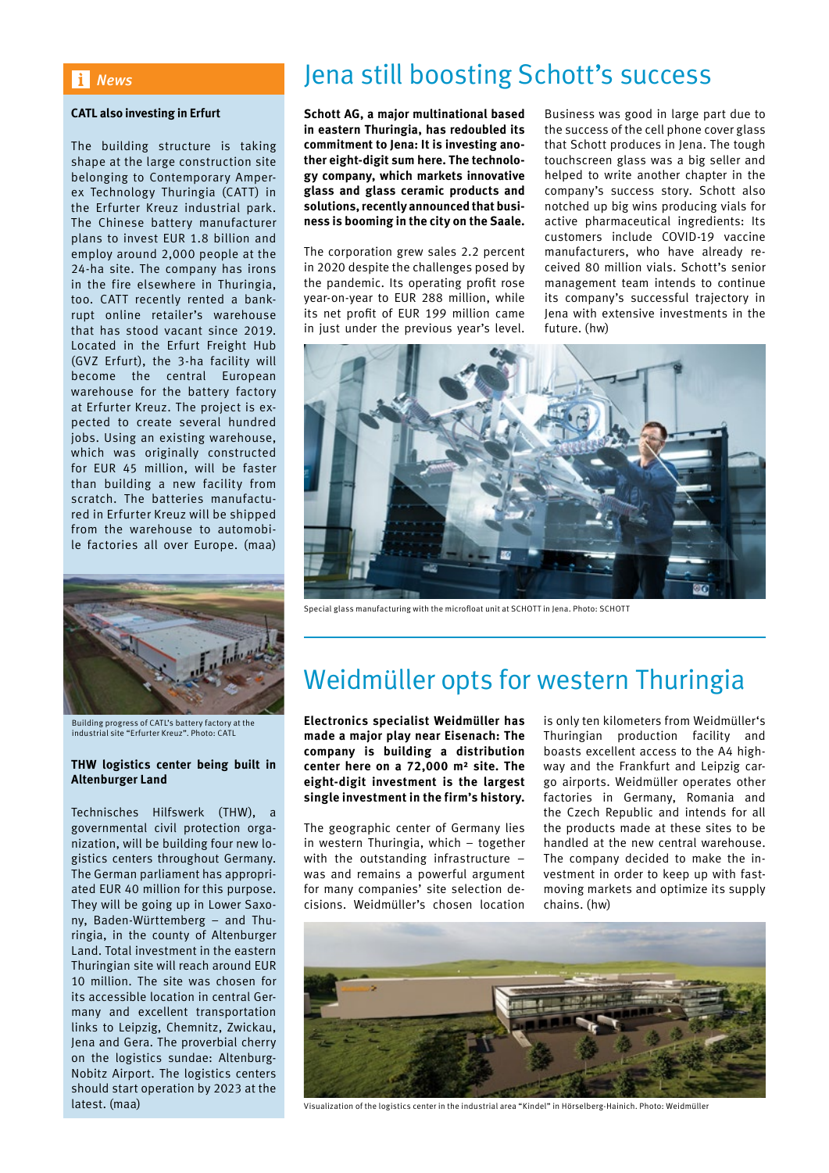#### *News*

#### **CATL also investing in Erfurt**

The building structure is taking shape at the large construction site belonging to Contemporary Amperex Technology Thuringia (CATT) in the Erfurter Kreuz industrial park. The Chinese battery manufacturer plans to invest EUR 1.8 billion and employ around 2,000 people at the 24-ha site. The company has irons in the fire elsewhere in Thuringia, too. CATT recently rented a bankrupt online retailer's warehouse that has stood vacant since 2019. Located in the Erfurt Freight Hub (GVZ Erfurt), the 3-ha facility will become the central European warehouse for the battery factory at Erfurter Kreuz. The project is expected to create several hundred jobs. Using an existing warehouse, which was originally constructed for EUR 45 million, will be faster than building a new facility from scratch. The batteries manufactured in Erfurter Kreuz will be shipped from the warehouse to automobile factories all over Europe. (maa)



Building progress of CATL's battery factory at the industrial site "Erfurter Kreuz". Photo: CATL

#### **THW logistics center being built in Altenburger Land**

Technisches Hilfswerk (THW), a governmental civil protection organization, will be building four new logistics centers throughout Germany. The German parliament has appropriated EUR 40 million for this purpose. They will be going up in Lower Saxony, Baden-Württemberg – and Thuringia, in the county of Altenburger Land. Total investment in the eastern Thuringian site will reach around EUR 10 million. The site was chosen for its accessible location in central Germany and excellent transportation links to Leipzig, Chemnitz, Zwickau, Jena and Gera. The proverbial cherry on the logistics sundae: Altenburg-Nobitz Airport. The logistics centers should start operation by 2023 at the latest. (maa)

### Jena still boosting Schott's success

**Schott AG, a major multinational based in eastern Thuringia, has redoubled its commitment to Jena: It is investing another eight-digit sum here. The technology company, which markets innovative glass and glass ceramic products and solutions, recently announced that business is booming in the city on the Saale.**

The corporation grew sales 2.2 percent in 2020 despite the challenges posed by the pandemic. Its operating profit rose year-on-year to EUR 288 million, while its net profit of EUR 199 million came in just under the previous year's level.

Business was good in large part due to the success of the cell phone cover glass that Schott produces in Jena. The tough touchscreen glass was a big seller and helped to write another chapter in the company's success story. Schott also notched up big wins producing vials for active pharmaceutical ingredients: Its customers include COVID-19 vaccine manufacturers, who have already received 80 million vials. Schott's senior management team intends to continue its company's successful trajectory in Jena with extensive investments in the future. (hw)



Special glass manufacturing with the microfloat unit at SCHOTT in Jena. Photo: SCHOTT

### Weidmüller opts for western Thuringia

**Electronics specialist Weidmüller has made a major play near Eisenach: The company is building a distribution center here on a 72,000 m² site. The eight-digit investment is the largest single investment in the firm's history.** 

The geographic center of Germany lies in western Thuringia, which – together with the outstanding infrastructure was and remains a powerful argument for many companies' site selection decisions. Weidmüller's chosen location

is only ten kilometers from Weidmüller's Thuringian production facility and boasts excellent access to the A4 highway and the Frankfurt and Leipzig cargo airports. Weidmüller operates other factories in Germany, Romania and the Czech Republic and intends for all the products made at these sites to be handled at the new central warehouse. The company decided to make the investment in order to keep up with fastmoving markets and optimize its supply chains. (hw)



Visualization of the logistics center in the industrial area "Kindel" in Hörselberg-Hainich. Photo: Weidmüller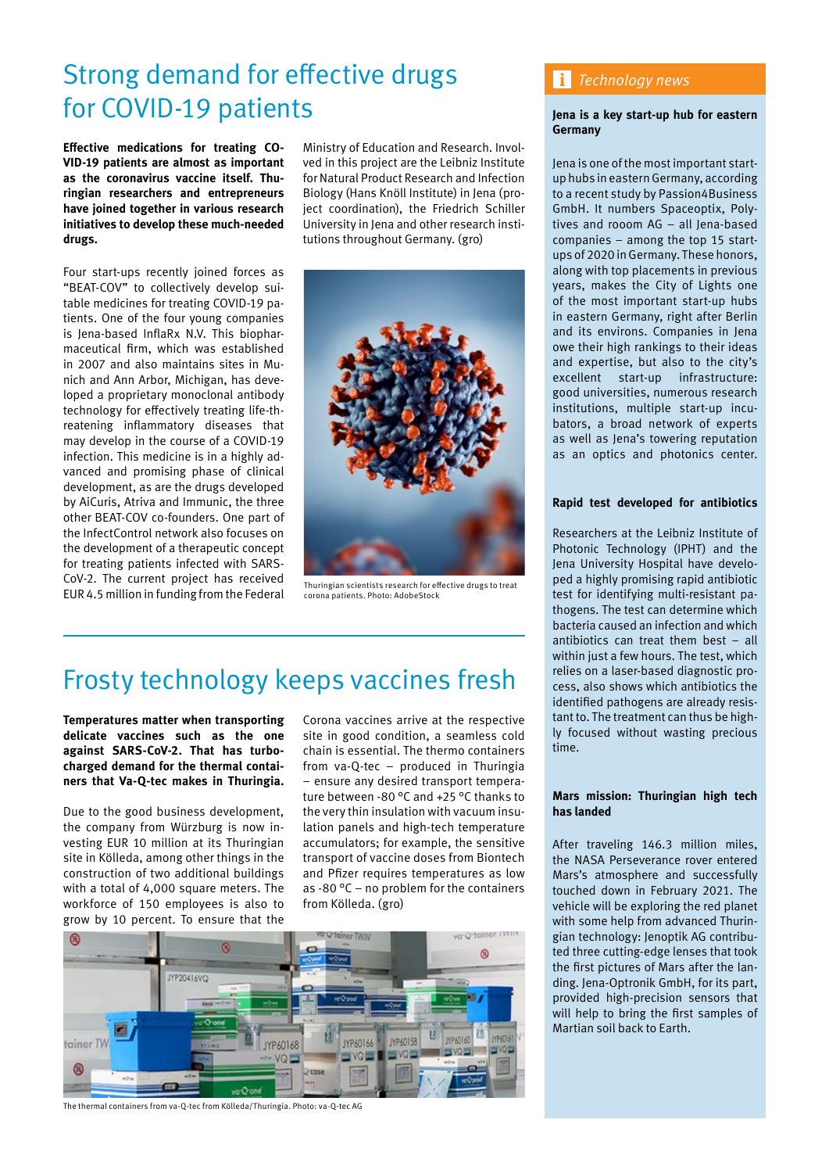### Strong demand for effective drugs for COVID-19 patients

**Effective medications for treating CO-VID-19 patients are almost as important as the coronavirus vaccine itself. Thuringian researchers and entrepreneurs have joined together in various research initiatives to develop these much-needed drugs.** 

Four start-ups recently joined forces as "BEAT-COV" to collectively develop suitable medicines for treating COVID-19 patients. One of the four young companies is Jena-based InflaRx N.V. This biopharmaceutical firm, which was established in 2007 and also maintains sites in Munich and Ann Arbor, Michigan, has developed a proprietary monoclonal antibody technology for effectively treating life-threatening inflammatory diseases that may develop in the course of a COVID-19 infection. This medicine is in a highly advanced and promising phase of clinical development, as are the drugs developed by AiCuris, Atriva and Immunic, the three other BEAT-COV co-founders. One part of the InfectControl network also focuses on the development of a therapeutic concept for treating patients infected with SARS-CoV-2. The current project has received EUR 4.5 million in funding from the Federal

Ministry of Education and Research. Involved in this project are the Leibniz Institute for Natural Product Research and Infection Biology (Hans Knöll Institute) in Jena (project coordination), the Friedrich Schiller University in Jena and other research institutions throughout Germany. (gro)



Thuringian scientists research for effective drugs to treat corona patients. Photo: AdobeStock

# Frosty technology keeps vaccines fresh

**Temperatures matter when transporting delicate vaccines such as the one against SARS-CoV-2. That has turbocharged demand for the thermal containers that Va-Q-tec makes in Thuringia.**

Due to the good business development, the company from Würzburg is now investing EUR 10 million at its Thuringian site in Kölleda, among other things in the construction of two additional buildings with a total of 4,000 square meters. The workforce of 150 employees is also to grow by 10 percent. To ensure that the

Corona vaccines arrive at the respective site in good condition, a seamless cold chain is essential. The thermo containers from va-Q-tec – produced in Thuringia – ensure any desired transport temperature between -80 °C and +25 °C thanks to the very thin insulation with vacuum insulation panels and high-tech temperature accumulators; for example, the sensitive transport of vaccine doses from Biontech and Pfizer requires temperatures as low as -80 °C – no problem for the containers from Kölleda. (gro)



The thermal containers from va-Q-tec from Kölleda/Thuringia. Photo: va-Q-tec AG

### *Technology news*

#### **Jena is a key start-up hub for eastern Germany**

Jena is one of the most important startup hubs in eastern Germany, according to a recent study by Passion4Business GmbH. It numbers Spaceoptix, Polytives and rooom AG – all Jena-based companies – among the top 15 startups of 2020 in Germany. These honors, along with top placements in previous years, makes the City of Lights one of the most important start-up hubs in eastern Germany, right after Berlin and its environs. Companies in Jena owe their high rankings to their ideas and expertise, but also to the city's excellent start-up infrastructure: good universities, numerous research institutions, multiple start-up incubators, a broad network of experts as well as Jena's towering reputation as an optics and photonics center.

#### **Rapid test developed for antibiotics**

Researchers at the Leibniz Institute of Photonic Technology (IPHT) and the Jena University Hospital have developed a highly promising rapid antibiotic test for identifying multi-resistant pathogens. The test can determine which bacteria caused an infection and which antibiotics can treat them best – all within just a few hours. The test, which relies on a laser-based diagnostic process, also shows which antibiotics the identified pathogens are already resistant to. The treatment can thus be highly focused without wasting precious time.

#### **Mars mission: Thuringian high tech has landed**

After traveling 146.3 million miles, the NASA Perseverance rover entered Mars's atmosphere and successfully touched down in February 2021. The vehicle will be exploring the red planet with some help from advanced Thuringian technology: Jenoptik AG contributed three cutting-edge lenses that took the first pictures of Mars after the landing. Jena-Optronik GmbH, for its part, provided high-precision sensors that will help to bring the first samples of Martian soil back to Earth.